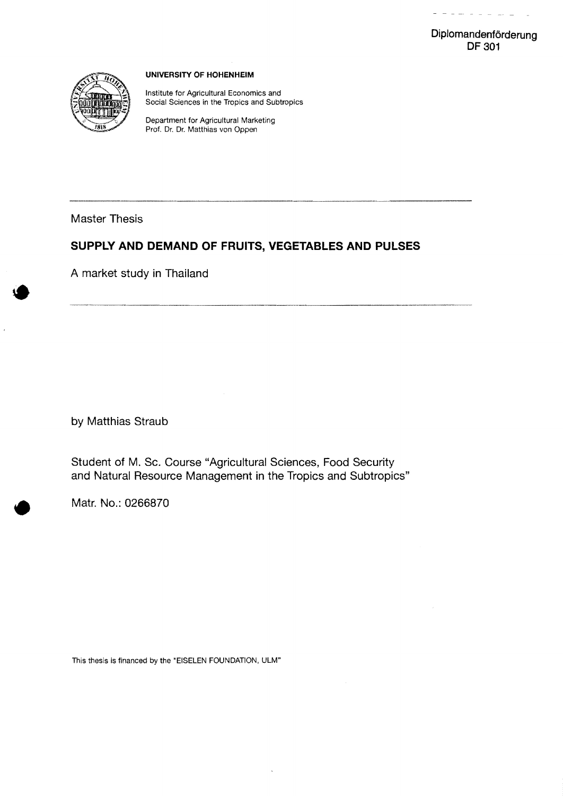$\sim$  $\overline{\phantom{a}}$  $_{\rm{rec}}$ 



#### **UNIVERSITY OF HOHENHEIM**

Institute for Agricultural Economics and Social Sciences in the Tropics and Subtropics

Department for Agricultural Marketing Prof. Dr. Dr. Matthias *von* Oppen

**Master Thesis** 

# **SUPPLY AND DEMAND OF FRUITS, VEGETABLES AND PULSES**

**A market study in Thailand** 

**by Matthias Straub** 

**Student of M. Sc. Course "Agricultural Sciences, Food Security and Natural Resource Management in the Tropics and Subtropics"** 

**Matr. No.: 0266870** 

This thesis is financed by the "EISELEN FOUNDATION, ULM"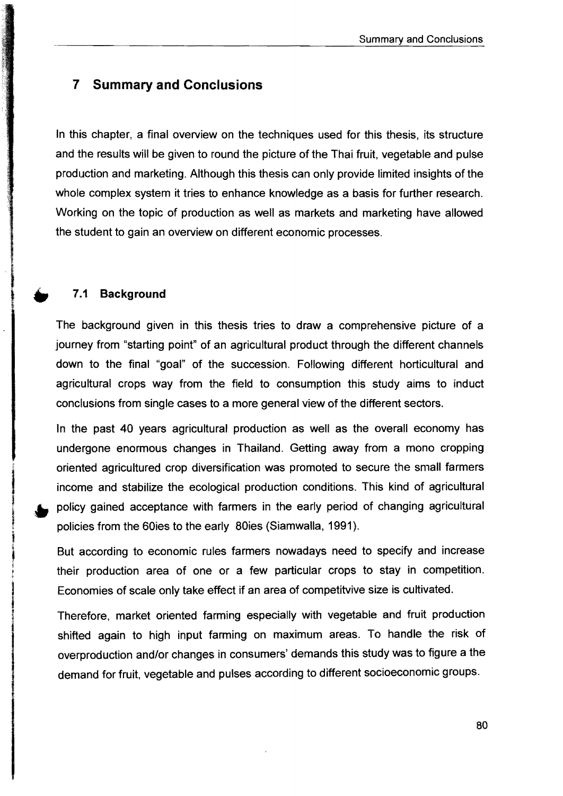# 7 Summary and Conclusions

In this chapter, a final overview on the techniques used for this thesis, its structure and the results will be given to round the picture of the Thai fruit, vegetable and pulse production and marketing. Although this thesis can only provide Iimited insights of the whole complex system it tries to enhance knowledge as a basis for further research. Working on the topic of production as weil as markets and marketing have allowed the student to gain an overview on different economic processes .

### 7.1 Background

The background given in this thesis tries to draw a comprehensive picture of a journey from "starting point" of an agricultural product through the different channels down to the final "goal" of the succession. Following different horticultural and agricultural crops way from the field to consumption this study aims to induct conclusions from single cases to a more general view of the different sectors.

In the past 40 years agricultural production as weil as the overall economy has undergone enormous changes in Thailand. Getting away from a mono cropping oriented agricultured crop diversification was promoted to secure the small farmers income and stabilize the ecological production conditions. This kind of agricultural policy gained acceptance with farmers in the early period of changing agricultural policies from the 60ies to the early 80ies (Siamwalla, 1991).

But according to economic rules farmers nowadays need to specify and increase their production area of one or a few particular crops to stay in competition. Economies of scale only take effect if an area of competitvive size is cultivated.

Therefore, market oriented farming especially with vegetable and fruit production shifted again to high input farming on maximum areas. To handle the risk of overproduction and/or changes in consumers' demands this study was to figure a the demand for fruit, vegetable and pulses according to different socioeconomic groups.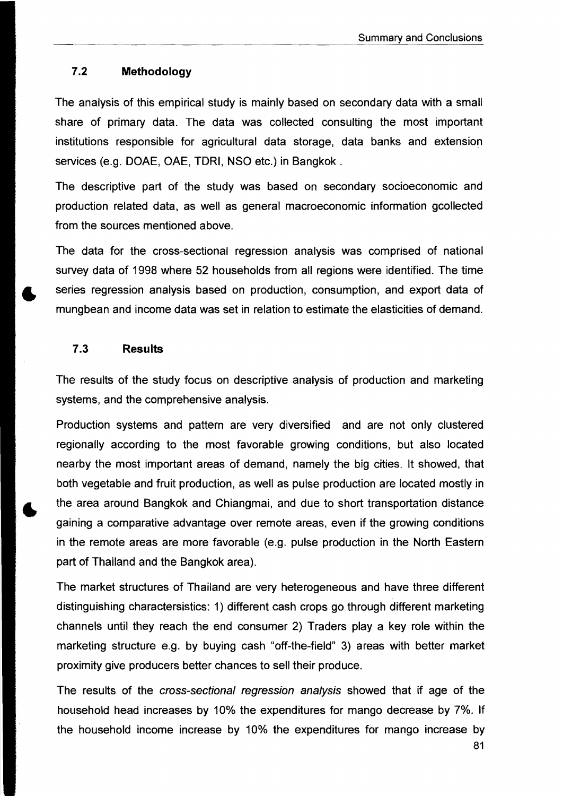#### 7.2 Methodology

The analysis of this empirical study is mainly based on secondary data with a small share of primary data. The data was collected consulting the most important institutions responsible for agricultural data storage, data banks and extension services (e.g. DOAE, OAE, TDRI, NSO etc.) in Bangkok .

The descriptive part of the study was based on secondary socioeconomic and production related data, as weil as general macroeconomic information gcollected from the sources mentioned above.

The data for the cross-sectional regression analysis was comprised of national survey data of 1998 where 52 households from all regions were identified. The time series regression analysis based on production, consumption, and export data of mungbean and income data was set in relation to estimate the elasticities of demand.

#### 7.3 Results

The results of the study focus on descriptive analysis of production and marketing systems, and the comprehensive analysis.

Production systems and pattern are very diversified and are not only clustered regionally according to the most favorable growing conditions, but also located nearby the most important areas of demand, namely the big cities. It showed, that both vegetable and fruit production, as weil as pulse production are located mostly in the area around Bangkok and Chiangmai, and due to short transportation distance gaining a comparative advantage over remote areas, even if the growing conditions in the remote areas are more favorable (e.g. pulse production in the North Eastern part of Thailand and the Bangkok area).

The market structures of Thailand are very heterogeneous and have three different distinguishing charactersistics: 1) different cash crops go through different marketing channels until they reach the end consumer 2) Traders play a key role within the marketing structure e.g. by buying cash "off-the-field" 3) areas with better market proximity give producers better chances to seil their produce.

The results of the cross-sectional regression analysis showed that if age of the household head increases by 10% the expenditures for mango decrease by 7%. If the household income increase by 10% the expenditures for mango increase by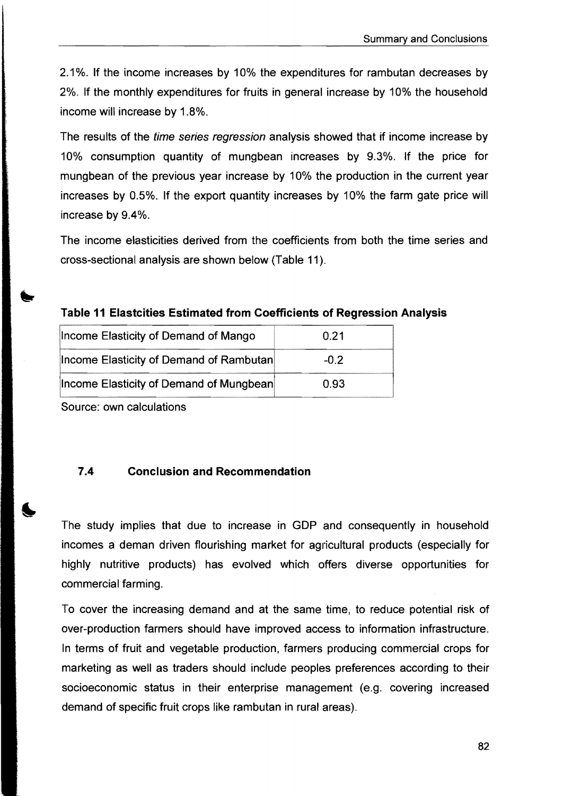2.1 %. If the income increases by 10% the expenditures for rambutan decreases by 2%. If the monthly expenditures for fruits in general increase by 10% the household income will increase by 1.8%.

The results of the time series regression analysis showed that if income increase by 10% consumption quantity of mungbean increases by 9.3%. If the price for mungbean of the previous year increase by 10% the production in the current year increases by 0.5%. If the export quantity increases by 10% the farm gate price will increase by 9.4%.

The income elasticities derived from the coefficients from both the time series and cross-sectional analysis are shown below (Table 11).

labia 11 Elastcities Estimated from Coefficients of Regression Analysis

| Income Elasticity of Demand of Mango    | 0.21   |
|-----------------------------------------|--------|
| Income Elasticity of Demand of Rambutan | $-0.2$ |
| Income Elasticity of Demand of Mungbean | 0.93   |

Source: own calculations

## 7.4 Conclusion and Recommendation

The study implies that due to increase in GDP and consequently in household incomes a deman driven flourishing market for agricultural products (especially for highly nutritive products) has evolved which offers diverse opportunities for commercial farming.

To cover the increasing demand and at the same time, to reduce potential risk of over-production farmers should have improved access to information infrastructure. In terms of fruit and vegetable production, farmers producing commercial crops for marketing as weil as traders should include peoples preferences according to their socioeconomic status in their enterprise management (e.g. covering increased demand of specific fruit crops like rambutan in rural areas).